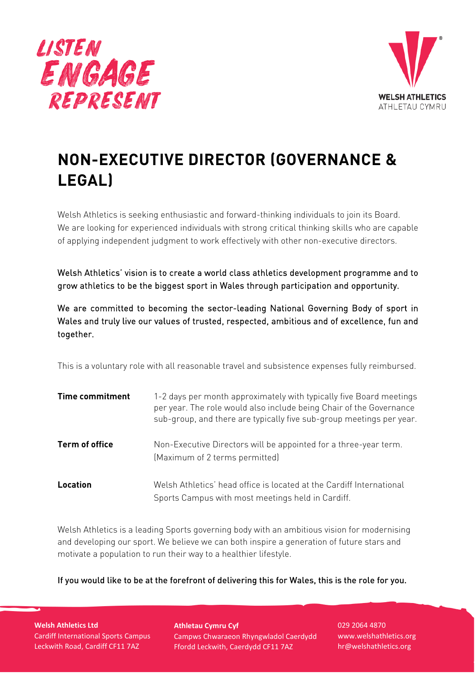



# **NON-EXECUTIVE DIRECTOR (GOVERNANCE & LEGAL)**

Welsh Athletics is seeking enthusiastic and forward-thinking individuals to join its Board. We are looking for experienced individuals with strong critical thinking skills who are capable of applying independent judgment to work effectively with other non-executive directors.

Welsh Athletics' vision is to create a world class athletics development programme and to grow athletics to be the biggest sport in Wales through participation and opportunity.

We are committed to becoming the sector-leading National Governing Body of sport in Wales and truly live our values of trusted, respected, ambitious and of excellence, fun and together.

This is a voluntary role with all reasonable travel and subsistence expenses fully reimbursed.

| <b>Time commitment</b> | 1-2 days per month approximately with typically five Board meetings<br>per year. The role would also include being Chair of the Governance<br>sub-group, and there are typically five sub-group meetings per year. |
|------------------------|--------------------------------------------------------------------------------------------------------------------------------------------------------------------------------------------------------------------|
| Term of office         | Non-Executive Directors will be appointed for a three-year term.<br>(Maximum of 2 terms permitted)                                                                                                                 |
| Location               | Welsh Athletics' head office is located at the Cardiff International<br>Sports Campus with most meetings held in Cardiff.                                                                                          |

Welsh Athletics is a leading Sports governing body with an ambitious vision for modernising and developing our sport. We believe we can both inspire a generation of future stars and motivate a population to run their way to a healthier lifestyle.

If you would like to be at the forefront of delivering this for Wales, this is the role for you.

**Welsh Athletics Ltd** Cardiff International Sports Campus Leckwith Road, Cardiff CF11 7AZ

**Athletau Cymru Cyf** Campws Chwaraeon Rhyngwladol Caerdydd Ffordd Leckwith, Caerdydd CF11 7AZ

029 2064 4870 www.welshathletics.org hr@welshathletics.org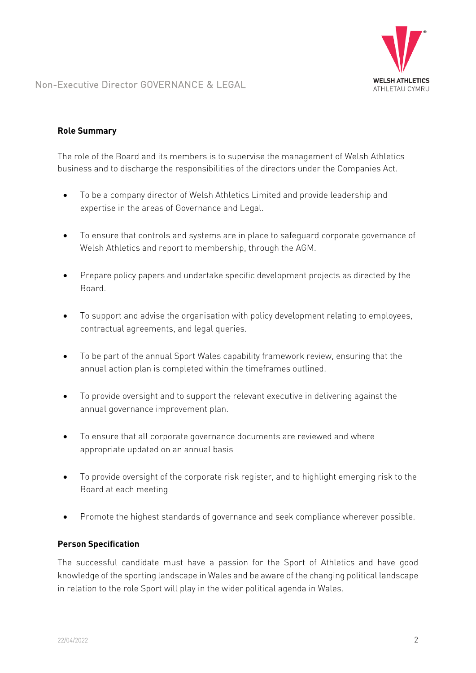

Non-Executive Director GOVERNANCE & LEGAL

# **Role Summary**

The role of the Board and its members is to supervise the management of Welsh Athletics business and to discharge the responsibilities of the directors under the Companies Act.

- To be a company director of Welsh Athletics Limited and provide leadership and expertise in the areas of Governance and Legal.
- To ensure that controls and systems are in place to safeguard corporate governance of Welsh Athletics and report to membership, through the AGM.
- Prepare policy papers and undertake specific development projects as directed by the Board.
- To support and advise the organisation with policy development relating to employees, contractual agreements, and legal queries.
- To be part of the annual Sport Wales capability framework review, ensuring that the annual action plan is completed within the timeframes outlined.
- To provide oversight and to support the relevant executive in delivering against the annual governance improvement plan.
- To ensure that all corporate governance documents are reviewed and where appropriate updated on an annual basis
- To provide oversight of the corporate risk register, and to highlight emerging risk to the Board at each meeting
- Promote the highest standards of governance and seek compliance wherever possible.

### **Person Specification**

The successful candidate must have a passion for the Sport of Athletics and have good knowledge of the sporting landscape in Wales and be aware of the changing political landscape in relation to the role Sport will play in the wider political agenda in Wales.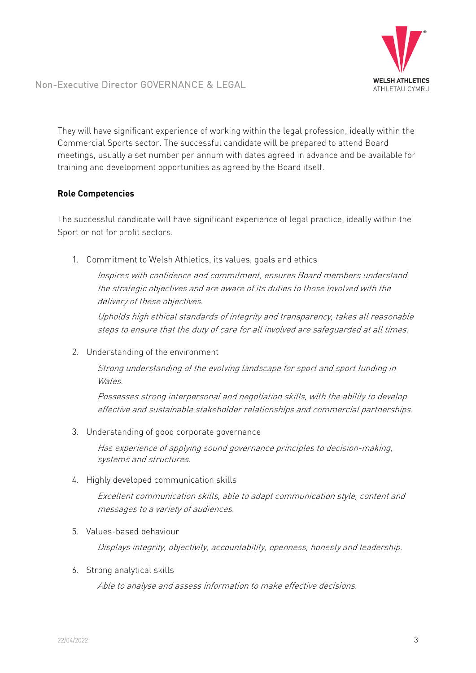

Non-Executive Director GOVERNANCE & LEGAL

They will have significant experience of working within the legal profession, ideally within the Commercial Sports sector. The successful candidate will be prepared to attend Board meetings, usually a set number per annum with dates agreed in advance and be available for training and development opportunities as agreed by the Board itself.

# **Role Competencies**

The successful candidate will have significant experience of legal practice, ideally within the Sport or not for profit sectors.

1. Commitment to Welsh Athletics, its values, goals and ethics

Inspires with confidence and commitment, ensures Board members understand the strategic objectives and are aware of its duties to those involved with the delivery of these objectives.

Upholds high ethical standards of integrity and transparency, takes all reasonable steps to ensure that the duty of care for all involved are safeguarded at all times.

2. Understanding of the environment

Strong understanding of the evolving landscape for sport and sport funding in Wales.

Possesses strong interpersonal and negotiation skills, with the ability to develop effective and sustainable stakeholder relationships and commercial partnerships.

3. Understanding of good corporate governance

Has experience of applying sound governance principles to decision-making, systems and structures.

4. Highly developed communication skills

Excellent communication skills, able to adapt communication style, content and messages to a variety of audiences.

5. Values-based behaviour

Displays integrity, objectivity, accountability, openness, honesty and leadership.

6. Strong analytical skills

Able to analyse and assess information to make effective decisions.